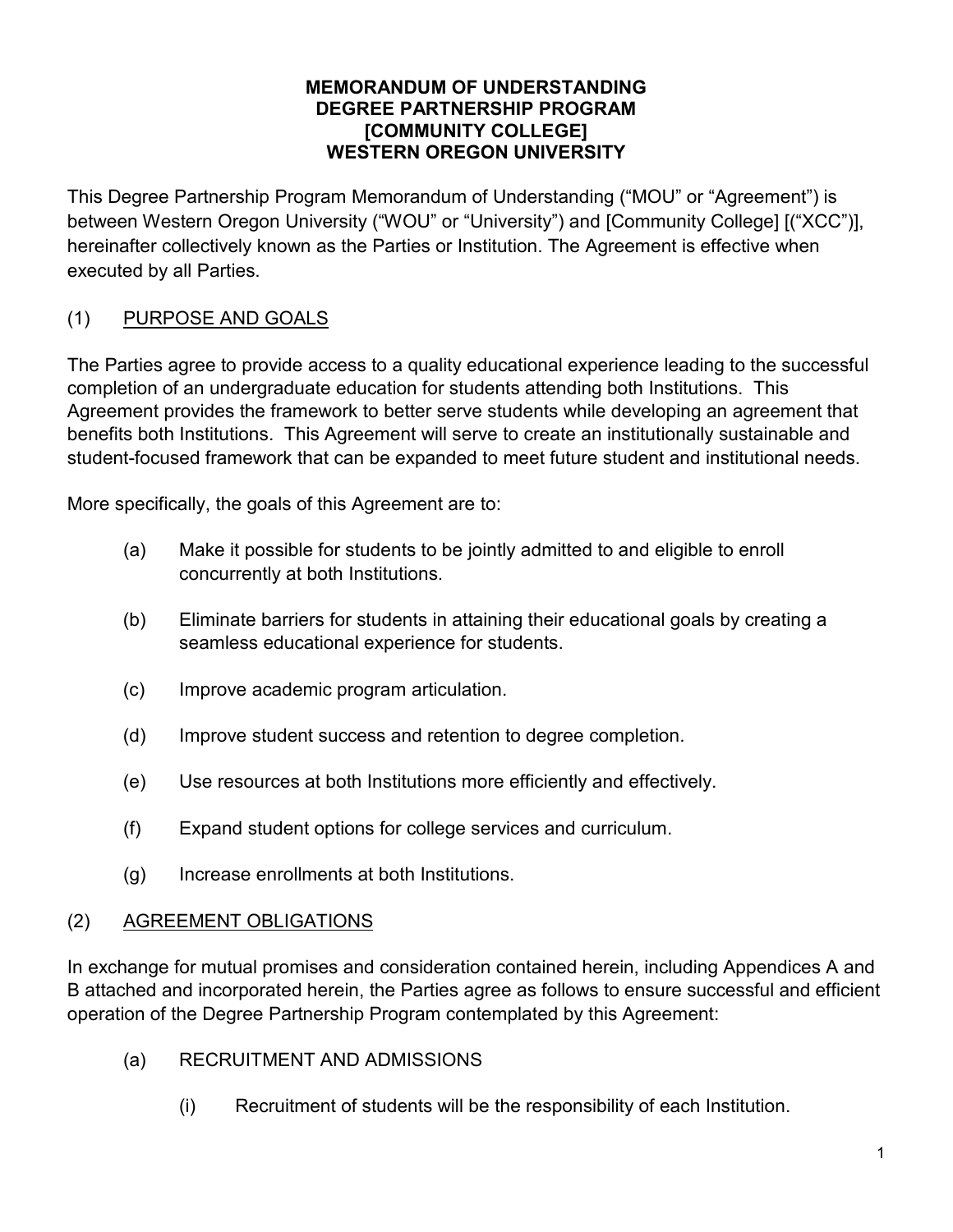#### **MEMORANDUM OF UNDERSTANDING DEGREE PARTNERSHIP PROGRAM [COMMUNITY COLLEGE] WESTERN OREGON UNIVERSITY**

This Degree Partnership Program Memorandum of Understanding ("MOU" or "Agreement") is between Western Oregon University ("WOU" or "University") and [Community College] [("XCC")], hereinafter collectively known as the Parties or Institution. The Agreement is effective when executed by all Parties.

# (1) PURPOSE AND GOALS

The Parties agree to provide access to a quality educational experience leading to the successful completion of an undergraduate education for students attending both Institutions. This Agreement provides the framework to better serve students while developing an agreement that benefits both Institutions. This Agreement will serve to create an institutionally sustainable and student-focused framework that can be expanded to meet future student and institutional needs.

More specifically, the goals of this Agreement are to:

- (a) Make it possible for students to be jointly admitted to and eligible to enroll concurrently at both Institutions.
- (b) Eliminate barriers for students in attaining their educational goals by creating a seamless educational experience for students.
- (c) Improve academic program articulation.
- (d) Improve student success and retention to degree completion.
- (e) Use resources at both Institutions more efficiently and effectively.
- (f) Expand student options for college services and curriculum.
- (g) Increase enrollments at both Institutions.

## (2) AGREEMENT OBLIGATIONS

In exchange for mutual promises and consideration contained herein, including Appendices A and B attached and incorporated herein, the Parties agree as follows to ensure successful and efficient operation of the Degree Partnership Program contemplated by this Agreement:

- (a) RECRUITMENT AND ADMISSIONS
	- (i) Recruitment of students will be the responsibility of each Institution.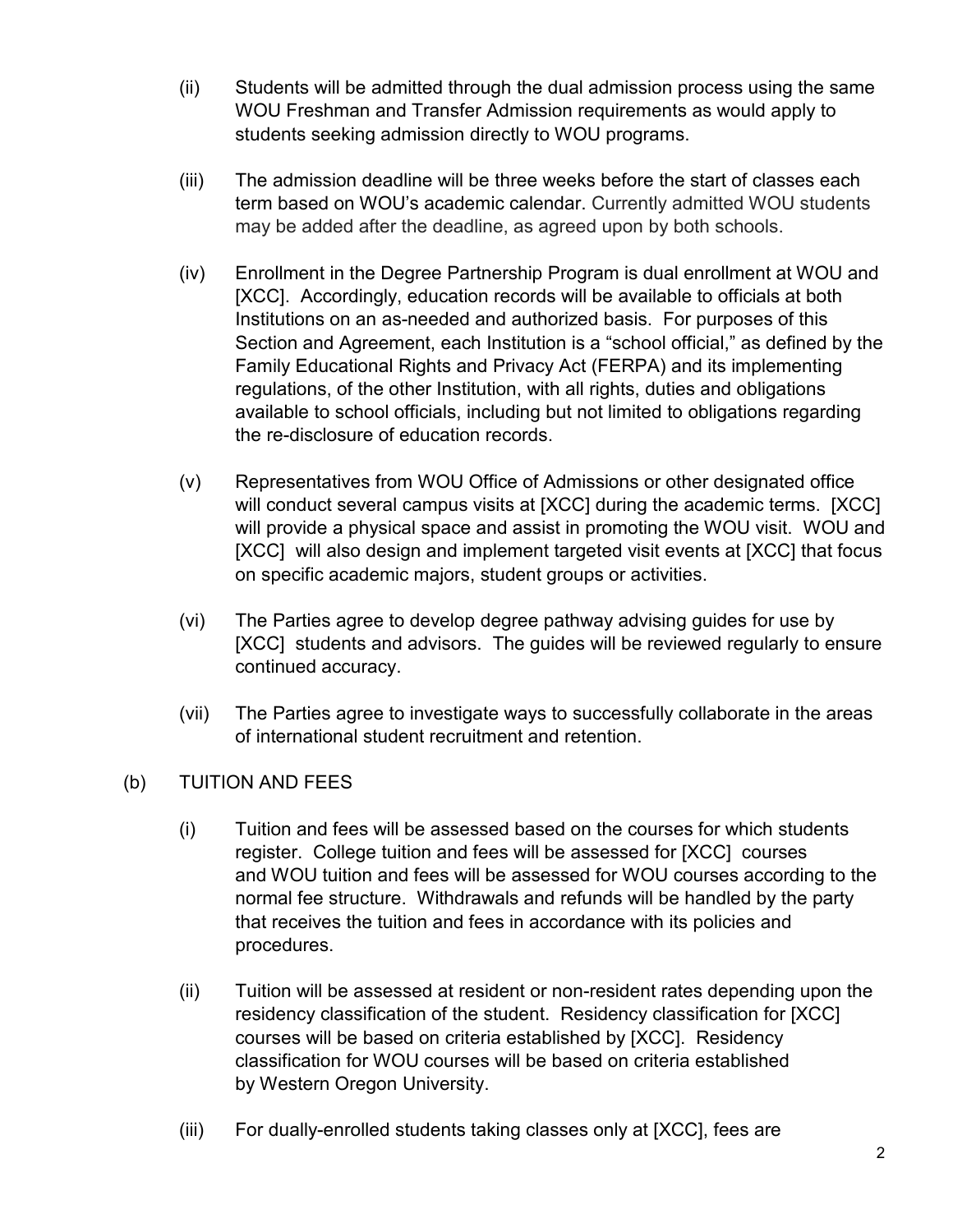- (ii) Students will be admitted through the dual admission process using the same WOU Freshman and Transfer Admission requirements as would apply to students seeking admission directly to WOU programs.
- (iii) The admission deadline will be three weeks before the start of classes each term based on WOU's academic calendar. Currently admitted WOU students may be added after the deadline, as agreed upon by both schools.
- (iv) Enrollment in the Degree Partnership Program is dual enrollment at WOU and [XCC]. Accordingly, education records will be available to officials at both Institutions on an as-needed and authorized basis. For purposes of this Section and Agreement, each Institution is a "school official," as defined by the Family Educational Rights and Privacy Act (FERPA) and its implementing regulations, of the other Institution, with all rights, duties and obligations available to school officials, including but not limited to obligations regarding the re-disclosure of education records.
- (v) Representatives from WOU Office of Admissions or other designated office will conduct several campus visits at [XCC] during the academic terms. [XCC] will provide a physical space and assist in promoting the WOU visit. WOU and [XCC] will also design and implement targeted visit events at [XCC] that focus on specific academic majors, student groups or activities.
- (vi) The Parties agree to develop degree pathway advising guides for use by [XCC] students and advisors. The guides will be reviewed regularly to ensure continued accuracy.
- (vii) The Parties agree to investigate ways to successfully collaborate in the areas of international student recruitment and retention.

# (b) TUITION AND FEES

- (i) Tuition and fees will be assessed based on the courses for which students register. College tuition and fees will be assessed for [XCC] courses and WOU tuition and fees will be assessed for WOU courses according to the normal fee structure. Withdrawals and refunds will be handled by the party that receives the tuition and fees in accordance with its policies and procedures.
- (ii) Tuition will be assessed at resident or non-resident rates depending upon the residency classification of the student. Residency classification for [XCC] courses will be based on criteria established by [XCC]. Residency classification for WOU courses will be based on criteria established by Western Oregon University.
- (iii) For dually-enrolled students taking classes only at [XCC], fees are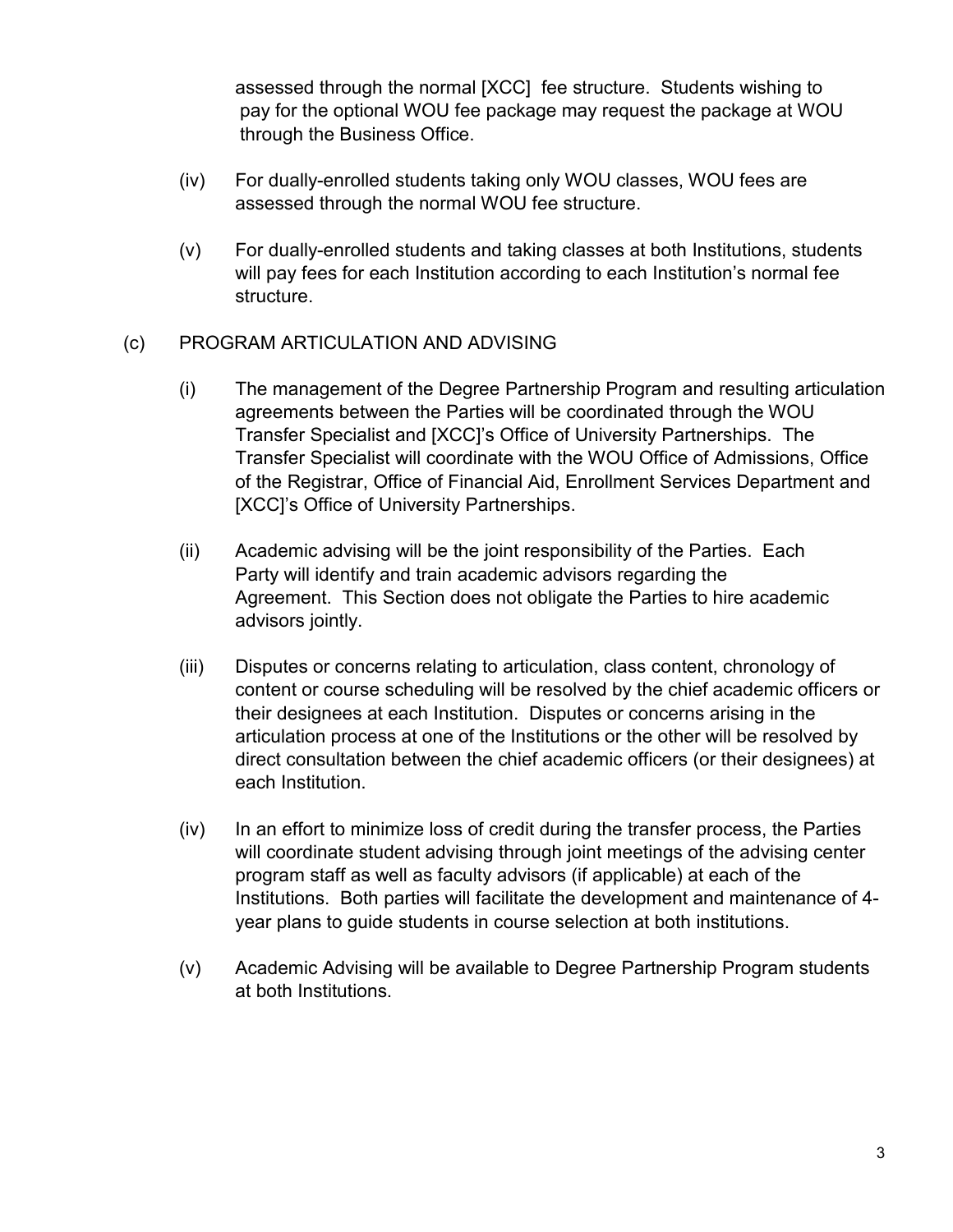assessed through the normal [XCC] fee structure. Students wishing to pay for the optional WOU fee package may request the package at WOU through the Business Office.

- (iv) For dually-enrolled students taking only WOU classes, WOU fees are assessed through the normal WOU fee structure.
- (v) For dually-enrolled students and taking classes at both Institutions, students will pay fees for each Institution according to each Institution's normal fee structure.

## (c) PROGRAM ARTICULATION AND ADVISING

- (i) The management of the Degree Partnership Program and resulting articulation agreements between the Parties will be coordinated through the WOU Transfer Specialist and [XCC]'s Office of University Partnerships. The Transfer Specialist will coordinate with the WOU Office of Admissions, Office of the Registrar, Office of Financial Aid, Enrollment Services Department and [XCC]'s Office of University Partnerships.
- (ii) Academic advising will be the joint responsibility of the Parties. Each Party will identify and train academic advisors regarding the Agreement. This Section does not obligate the Parties to hire academic advisors jointly.
- (iii) Disputes or concerns relating to articulation, class content, chronology of content or course scheduling will be resolved by the chief academic officers or their designees at each Institution. Disputes or concerns arising in the articulation process at one of the Institutions or the other will be resolved by direct consultation between the chief academic officers (or their designees) at each Institution.
- (iv) In an effort to minimize loss of credit during the transfer process, the Parties will coordinate student advising through joint meetings of the advising center program staff as well as faculty advisors (if applicable) at each of the Institutions. Both parties will facilitate the development and maintenance of 4 year plans to guide students in course selection at both institutions.
- (v) Academic Advising will be available to Degree Partnership Program students at both Institutions.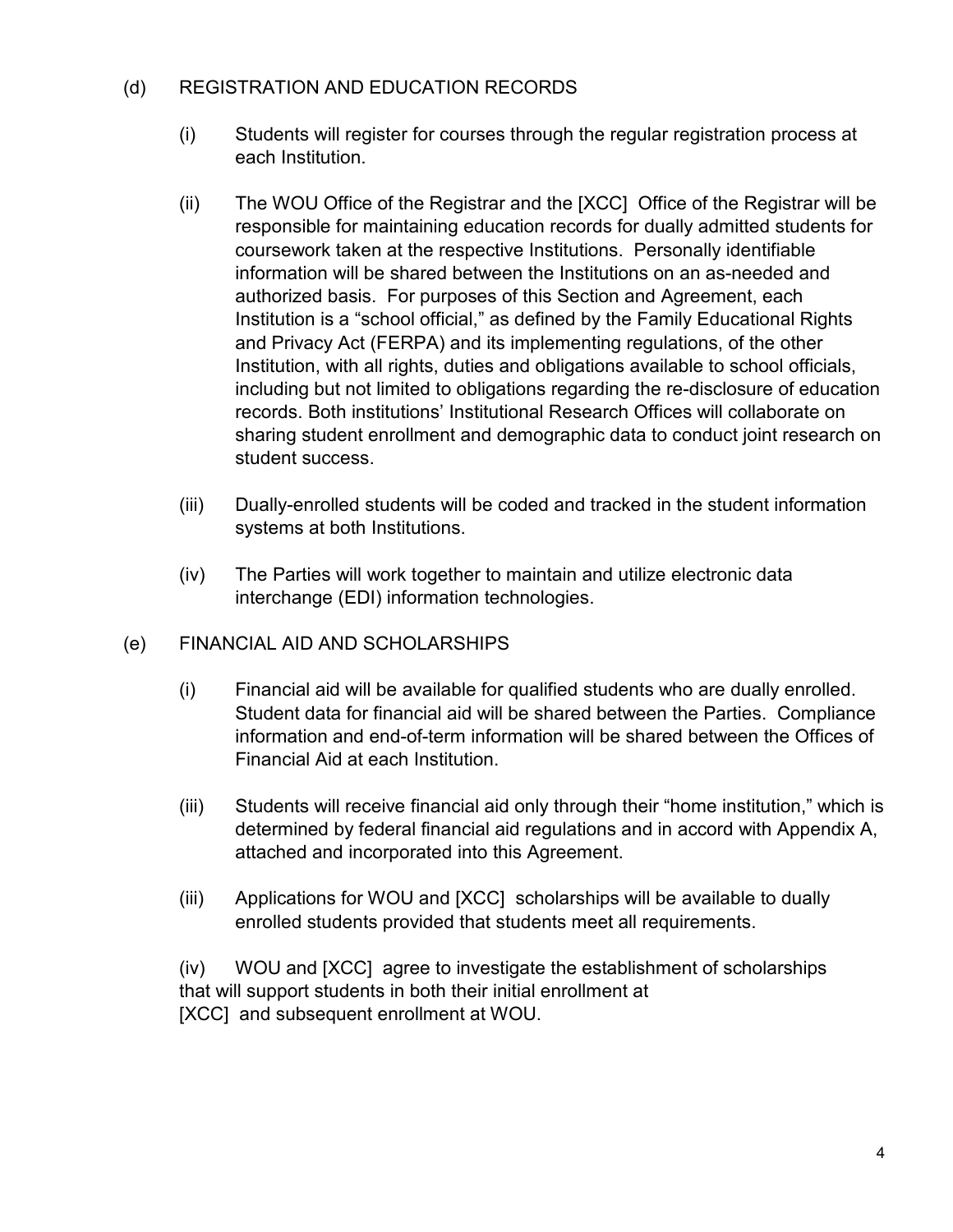#### (d) REGISTRATION AND EDUCATION RECORDS

- (i) Students will register for courses through the regular registration process at each Institution.
- (ii) The WOU Office of the Registrar and the [XCC] Office of the Registrar will be responsible for maintaining education records for dually admitted students for coursework taken at the respective Institutions. Personally identifiable information will be shared between the Institutions on an as-needed and authorized basis. For purposes of this Section and Agreement, each Institution is a "school official," as defined by the Family Educational Rights and Privacy Act (FERPA) and its implementing regulations, of the other Institution, with all rights, duties and obligations available to school officials, including but not limited to obligations regarding the re-disclosure of education records. Both institutions' Institutional Research Offices will collaborate on sharing student enrollment and demographic data to conduct joint research on student success.
- (iii) Dually-enrolled students will be coded and tracked in the student information systems at both Institutions.
- (iv) The Parties will work together to maintain and utilize electronic data interchange (EDI) information technologies.

## (e) FINANCIAL AID AND SCHOLARSHIPS

- (i) Financial aid will be available for qualified students who are dually enrolled. Student data for financial aid will be shared between the Parties. Compliance information and end-of-term information will be shared between the Offices of Financial Aid at each Institution.
- (iii) Students will receive financial aid only through their "home institution," which is determined by federal financial aid regulations and in accord with Appendix A, attached and incorporated into this Agreement.
- (iii) Applications for WOU and [XCC] scholarships will be available to dually enrolled students provided that students meet all requirements.

(iv) WOU and [XCC] agree to investigate the establishment of scholarships that will support students in both their initial enrollment at [XCC] and subsequent enrollment at WOU.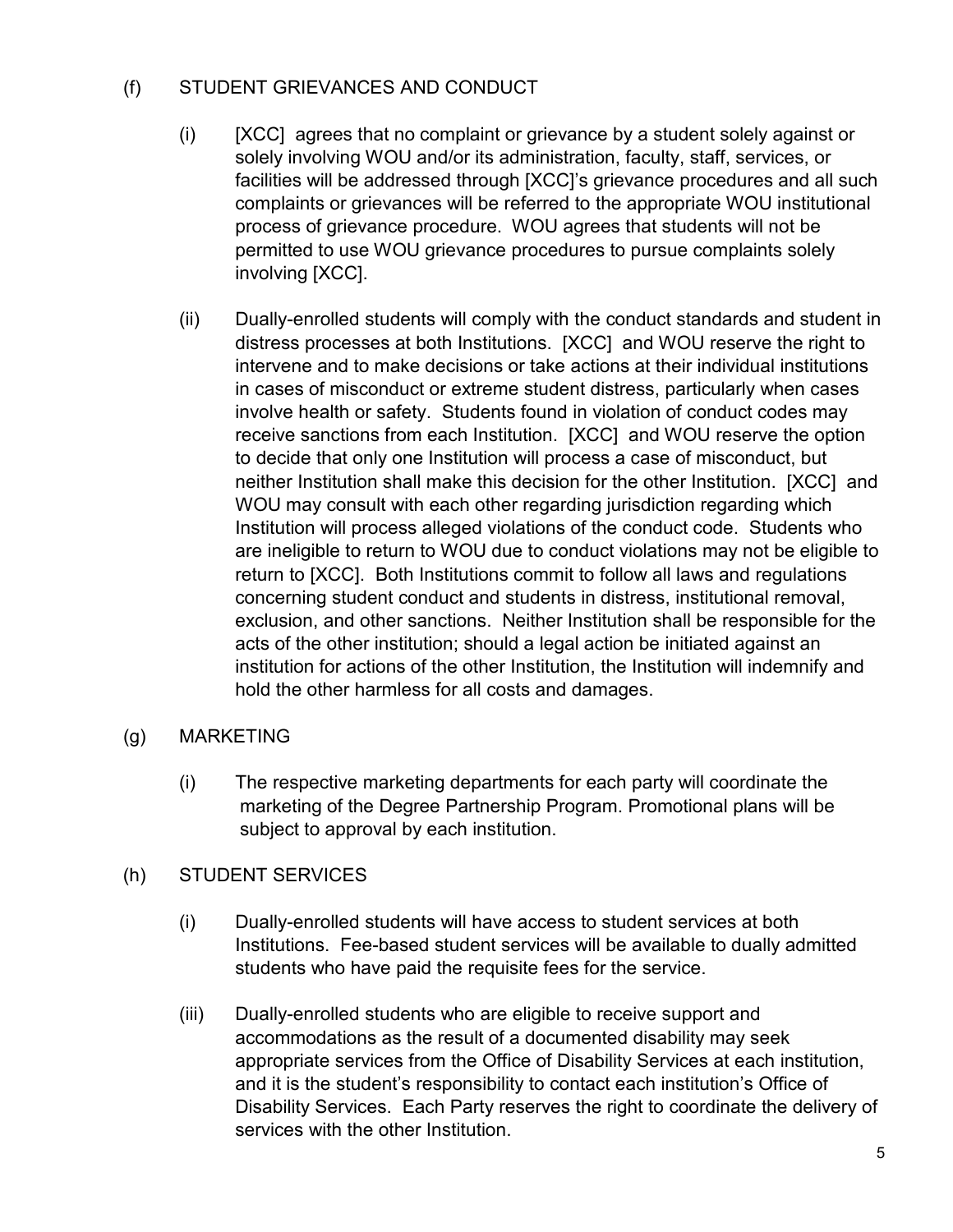## (f) STUDENT GRIEVANCES AND CONDUCT

- (i) [XCC] agrees that no complaint or grievance by a student solely against or solely involving WOU and/or its administration, faculty, staff, services, or facilities will be addressed through [XCC]'s grievance procedures and all such complaints or grievances will be referred to the appropriate WOU institutional process of grievance procedure. WOU agrees that students will not be permitted to use WOU grievance procedures to pursue complaints solely involving [XCC].
- (ii) Dually-enrolled students will comply with the conduct standards and student in distress processes at both Institutions. [XCC] and WOU reserve the right to intervene and to make decisions or take actions at their individual institutions in cases of misconduct or extreme student distress, particularly when cases involve health or safety. Students found in violation of conduct codes may receive sanctions from each Institution. [XCC] and WOU reserve the option to decide that only one Institution will process a case of misconduct, but neither Institution shall make this decision for the other Institution. [XCC] and WOU may consult with each other regarding jurisdiction regarding which Institution will process alleged violations of the conduct code. Students who are ineligible to return to WOU due to conduct violations may not be eligible to return to [XCC]. Both Institutions commit to follow all laws and regulations concerning student conduct and students in distress, institutional removal, exclusion, and other sanctions. Neither Institution shall be responsible for the acts of the other institution; should a legal action be initiated against an institution for actions of the other Institution, the Institution will indemnify and hold the other harmless for all costs and damages.
- (g) MARKETING
	- (i) The respective marketing departments for each party will coordinate the marketing of the Degree Partnership Program. Promotional plans will be subject to approval by each institution.

# (h) STUDENT SERVICES

- (i) Dually-enrolled students will have access to student services at both Institutions. Fee-based student services will be available to dually admitted students who have paid the requisite fees for the service.
- (iii) Dually-enrolled students who are eligible to receive support and accommodations as the result of a documented disability may seek appropriate services from the Office of Disability Services at each institution, and it is the student's responsibility to contact each institution's Office of Disability Services. Each Party reserves the right to coordinate the delivery of services with the other Institution.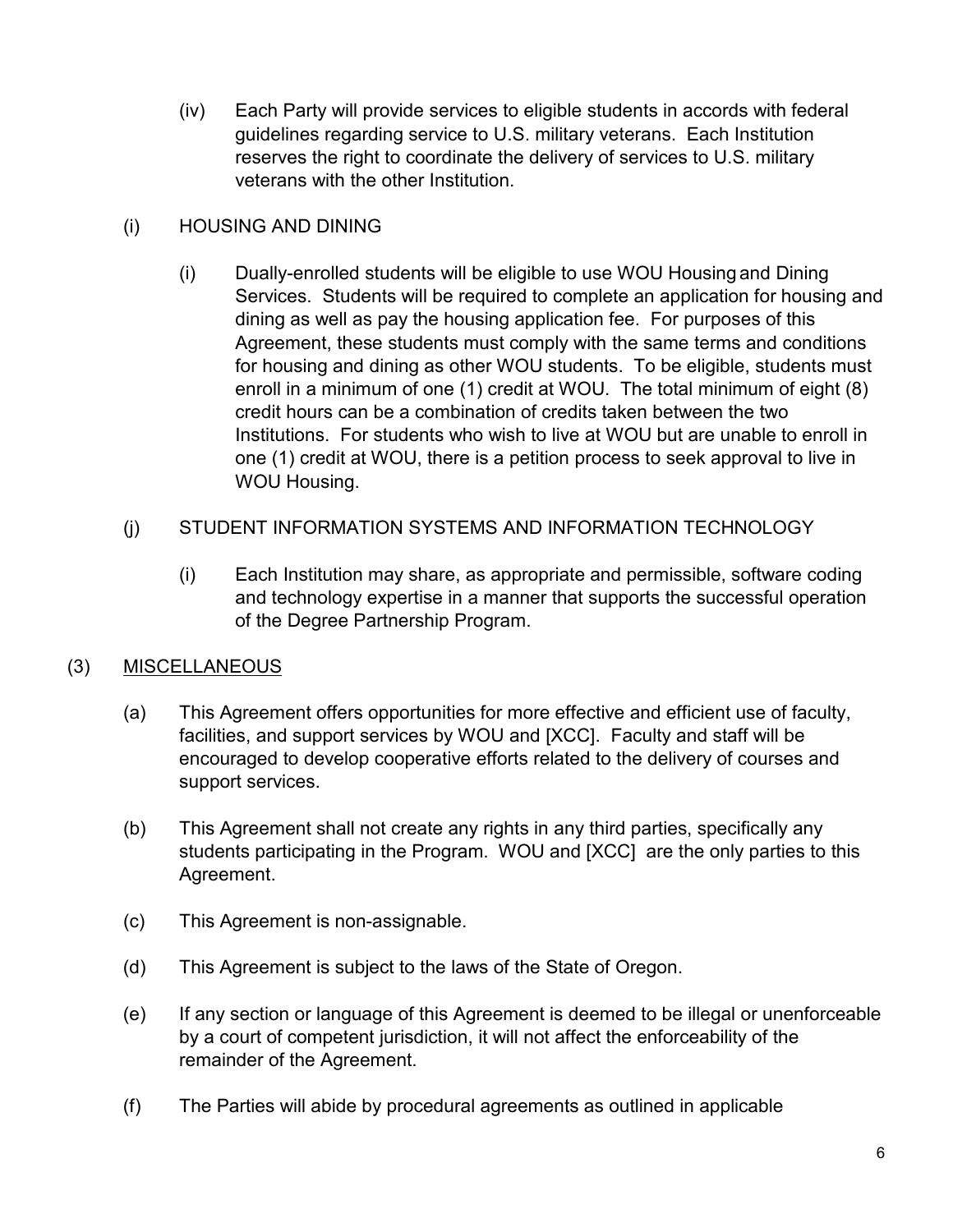(iv) Each Party will provide services to eligible students in accords with federal guidelines regarding service to U.S. military veterans. Each Institution reserves the right to coordinate the delivery of services to U.S. military veterans with the other Institution.

# (i) HOUSING AND DINING

- (i) Dually-enrolled students will be eligible to use WOU Housing and Dining Services. Students will be required to complete an application for housing and dining as well as pay the housing application fee. For purposes of this Agreement, these students must comply with the same terms and conditions for housing and dining as other WOU students. To be eligible, students must enroll in a minimum of one (1) credit at WOU. The total minimum of eight (8) credit hours can be a combination of credits taken between the two Institutions. For students who wish to live at WOU but are unable to enroll in one (1) credit at WOU, there is a petition process to seek approval to live in WOU Housing.
- (j) STUDENT INFORMATION SYSTEMS AND INFORMATION TECHNOLOGY
	- (i) Each Institution may share, as appropriate and permissible, software coding and technology expertise in a manner that supports the successful operation of the Degree Partnership Program.

# (3) MISCELLANEOUS

- (a) This Agreement offers opportunities for more effective and efficient use of faculty, facilities, and support services by WOU and [XCC]. Faculty and staff will be encouraged to develop cooperative efforts related to the delivery of courses and support services.
- (b) This Agreement shall not create any rights in any third parties, specifically any students participating in the Program. WOU and [XCC] are the only parties to this Agreement.
- (c) This Agreement is non-assignable.
- (d) This Agreement is subject to the laws of the State of Oregon.
- (e) If any section or language of this Agreement is deemed to be illegal or unenforceable by a court of competent jurisdiction, it will not affect the enforceability of the remainder of the Agreement.
- (f) The Parties will abide by procedural agreements as outlined in applicable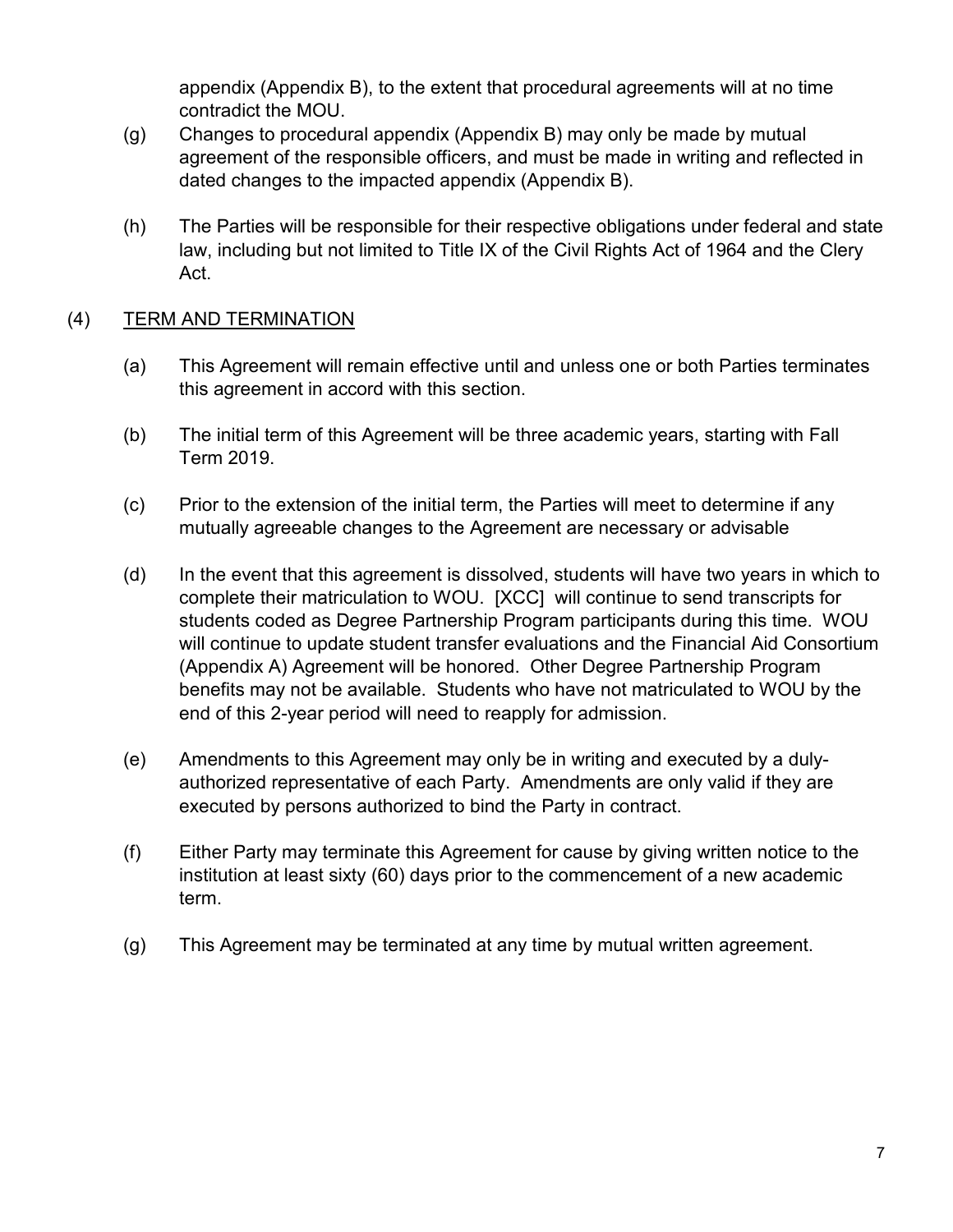appendix (Appendix B), to the extent that procedural agreements will at no time contradict the MOU.

- (g) Changes to procedural appendix (Appendix B) may only be made by mutual agreement of the responsible officers, and must be made in writing and reflected in dated changes to the impacted appendix (Appendix B).
- (h) The Parties will be responsible for their respective obligations under federal and state law, including but not limited to Title IX of the Civil Rights Act of 1964 and the Clery Act.

## (4) TERM AND TERMINATION

- (a) This Agreement will remain effective until and unless one or both Parties terminates this agreement in accord with this section.
- (b) The initial term of this Agreement will be three academic years, starting with Fall Term 2019.
- (c) Prior to the extension of the initial term, the Parties will meet to determine if any mutually agreeable changes to the Agreement are necessary or advisable
- (d) In the event that this agreement is dissolved, students will have two years in which to complete their matriculation to WOU. [XCC] will continue to send transcripts for students coded as Degree Partnership Program participants during this time. WOU will continue to update student transfer evaluations and the Financial Aid Consortium (Appendix A) Agreement will be honored. Other Degree Partnership Program benefits may not be available. Students who have not matriculated to WOU by the end of this 2-year period will need to reapply for admission.
- (e) Amendments to this Agreement may only be in writing and executed by a dulyauthorized representative of each Party. Amendments are only valid if they are executed by persons authorized to bind the Party in contract.
- (f) Either Party may terminate this Agreement for cause by giving written notice to the institution at least sixty (60) days prior to the commencement of a new academic term.
- (g) This Agreement may be terminated at any time by mutual written agreement.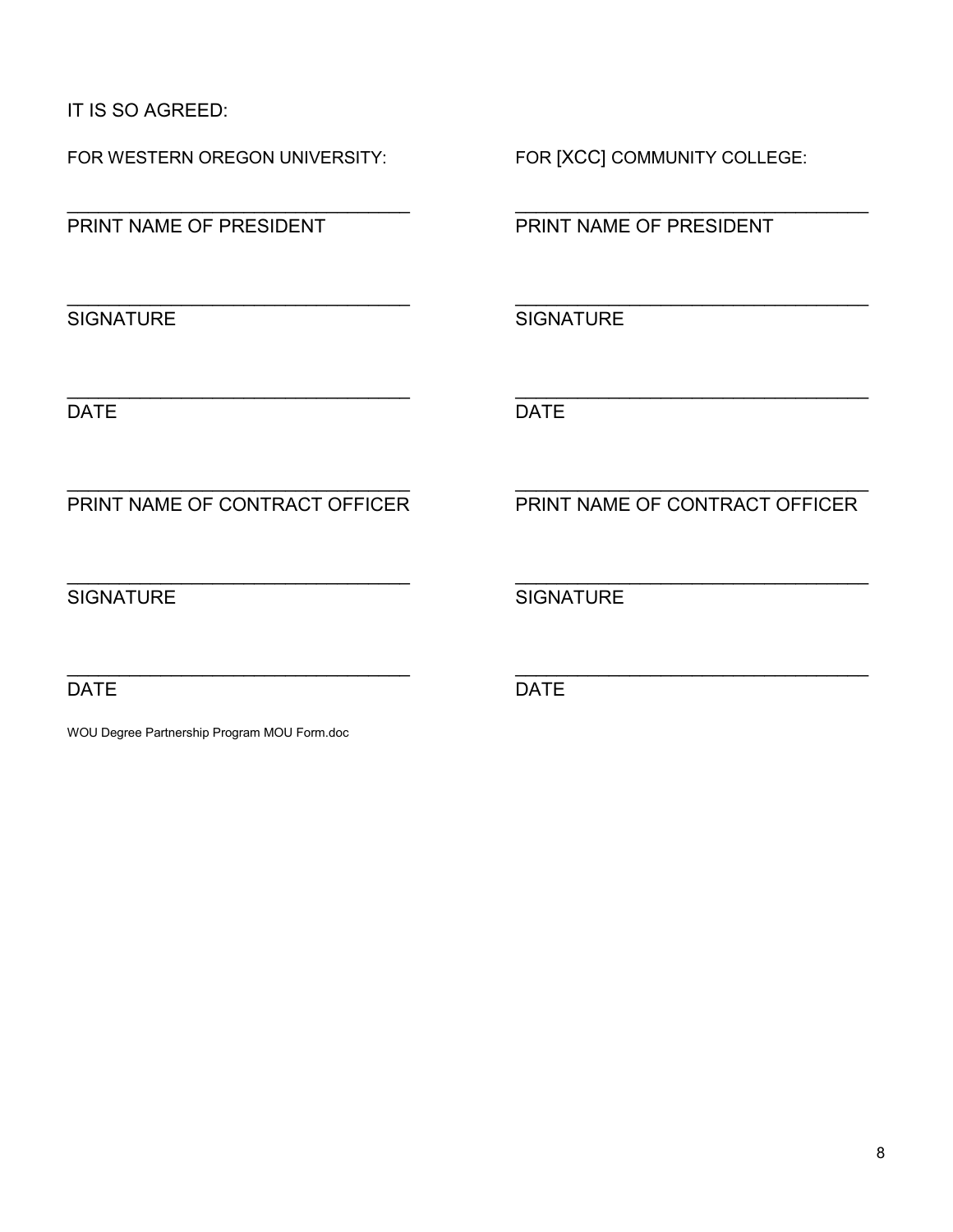IT IS SO AGREED:

FOR WESTERN OREGON UNIVERSITY: FOR [XCC] COMMUNITY COLLEGE:

PRINT NAME OF PRESIDENT PRINT NAME OF PRESIDENT

 $\overline{\phantom{a}}$  , and the contribution of the contribution of the contribution of the contribution of the contribution of the contribution of the contribution of the contribution of the contribution of the contribution of the SIGNATURE SIGNATURE

 $\overline{\phantom{a}}$  , and the contribution of the contribution of the contribution of the contribution of the contribution of the contribution of the contribution of the contribution of the contribution of the contribution of the

 $\overline{\phantom{a}}$  , and the contribution of the contribution of the contribution of the contribution of the contribution of the contribution of the contribution of the contribution of the contribution of the contribution of the

DATE DATE

PRINT NAME OF CONTRACT OFFICER PRINT NAME OF CONTRACT OFFICER

 $\overline{\phantom{a}}$  , and the contribution of the contribution of the contribution of the contribution of the contribution of the contribution of the contribution of the contribution of the contribution of the contribution of the

 $\overline{\phantom{a}}$  , and the contribution of the contribution of the contribution of the contribution of the contribution of the contribution of the contribution of the contribution of the contribution of the contribution of the SIGNATURE SIGNATURE SIGNATURE

 $\overline{\phantom{a}}$  , and the contract of the contract of the contract of the contract of the contract of the contract of the contract of the contract of the contract of the contract of the contract of the contract of the contrac DATE DATE

WOU Degree Partnership Program MOU Form.doc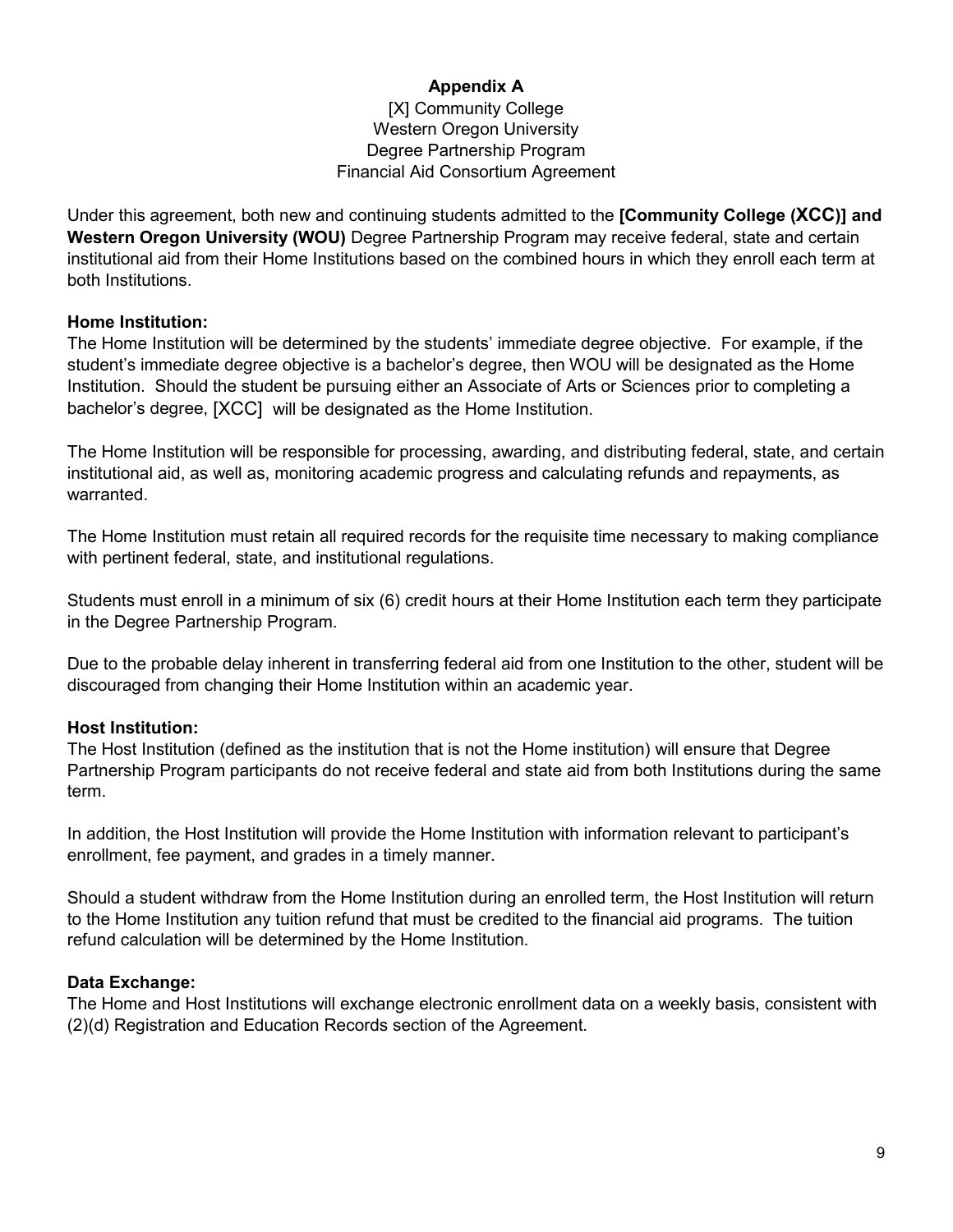# **Appendix A** [X] Community College

#### Western Oregon University Degree Partnership Program Financial Aid Consortium Agreement

Under this agreement, both new and continuing students admitted to the **[Community College (XCC)] and Western Oregon University (WOU)** Degree Partnership Program may receive federal, state and certain institutional aid from their Home Institutions based on the combined hours in which they enroll each term at both Institutions.

## **Home Institution:**

The Home Institution will be determined by the students' immediate degree objective. For example, if the student's immediate degree objective is a bachelor's degree, then WOU will be designated as the Home Institution. Should the student be pursuing either an Associate of Arts or Sciences prior to completing a bachelor's degree, [XCC] will be designated as the Home Institution.

The Home Institution will be responsible for processing, awarding, and distributing federal, state, and certain institutional aid, as well as, monitoring academic progress and calculating refunds and repayments, as warranted.

The Home Institution must retain all required records for the requisite time necessary to making compliance with pertinent federal, state, and institutional regulations.

Students must enroll in a minimum of six (6) credit hours at their Home Institution each term they participate in the Degree Partnership Program.

Due to the probable delay inherent in transferring federal aid from one Institution to the other, student will be discouraged from changing their Home Institution within an academic year.

# **Host Institution:**

The Host Institution (defined as the institution that is not the Home institution) will ensure that Degree Partnership Program participants do not receive federal and state aid from both Institutions during the same term.

In addition, the Host Institution will provide the Home Institution with information relevant to participant's enrollment, fee payment, and grades in a timely manner.

Should a student withdraw from the Home Institution during an enrolled term, the Host Institution will return to the Home Institution any tuition refund that must be credited to the financial aid programs. The tuition refund calculation will be determined by the Home Institution.

## **Data Exchange:**

The Home and Host Institutions will exchange electronic enrollment data on a weekly basis, consistent with (2)(d) Registration and Education Records section of the Agreement.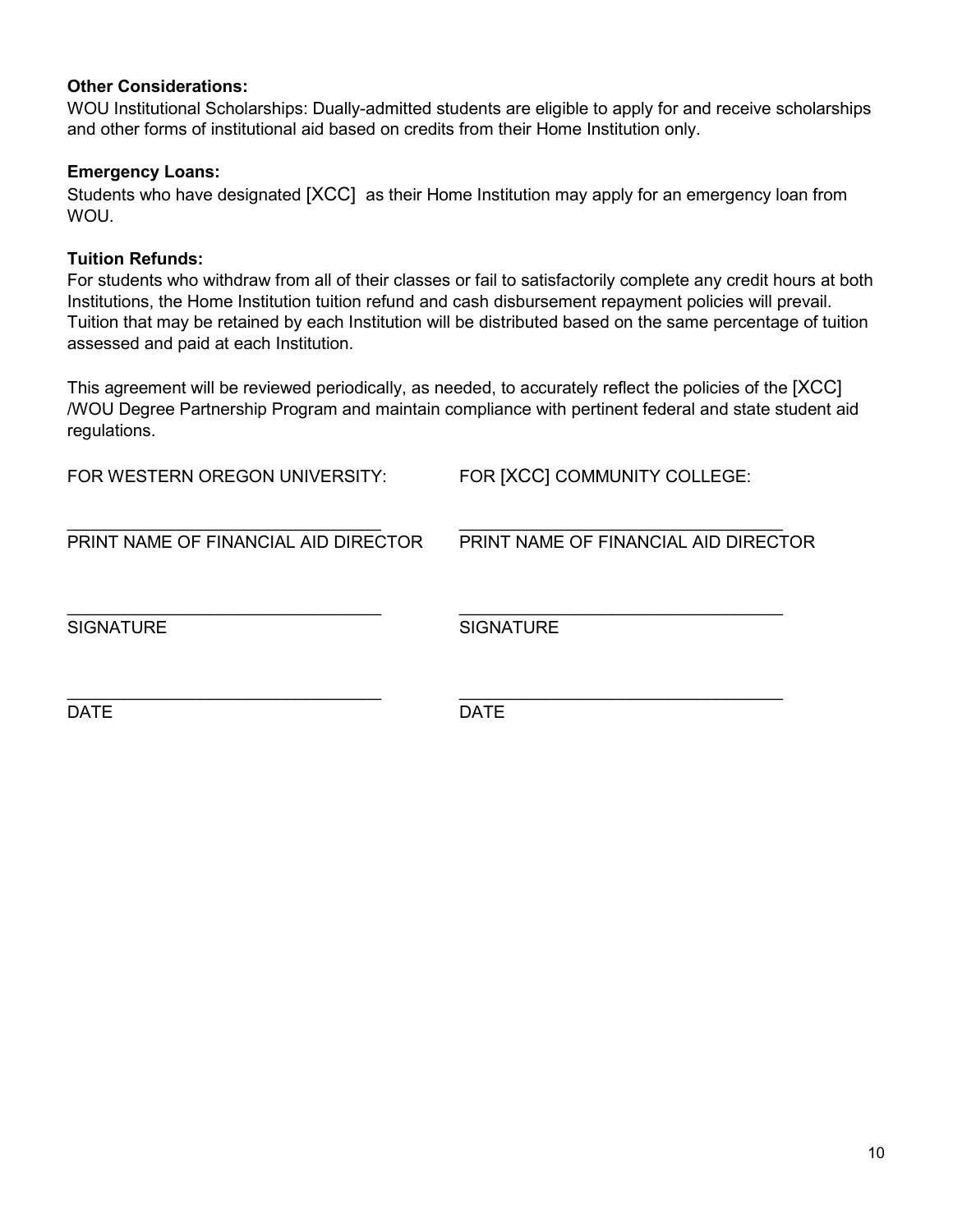#### **Other Considerations:**

WOU Institutional Scholarships: Dually-admitted students are eligible to apply for and receive scholarships and other forms of institutional aid based on credits from their Home Institution only.

#### **Emergency Loans:**

Students who have designated [XCC] as their Home Institution may apply for an emergency loan from WOU.

#### **Tuition Refunds:**

For students who withdraw from all of their classes or fail to satisfactorily complete any credit hours at both Institutions, the Home Institution tuition refund and cash disbursement repayment policies will prevail. Tuition that may be retained by each Institution will be distributed based on the same percentage of tuition assessed and paid at each Institution.

This agreement will be reviewed periodically, as needed, to accurately reflect the policies of the [XCC] /WOU Degree Partnership Program and maintain compliance with pertinent federal and state student aid regulations.

| FOR WESTERN OREGON UNIVERSITY:       | FOR [XCC] COMMUNITY COLLEGE:         |
|--------------------------------------|--------------------------------------|
| PRINT NAME OF FINANCIAL AID DIRECTOR | PRINT NAME OF FINANCIAL AID DIRECTOR |
| <b>SIGNATURE</b>                     | <b>SIGNATURE</b>                     |
| <b>DATE</b>                          | <b>DATE</b>                          |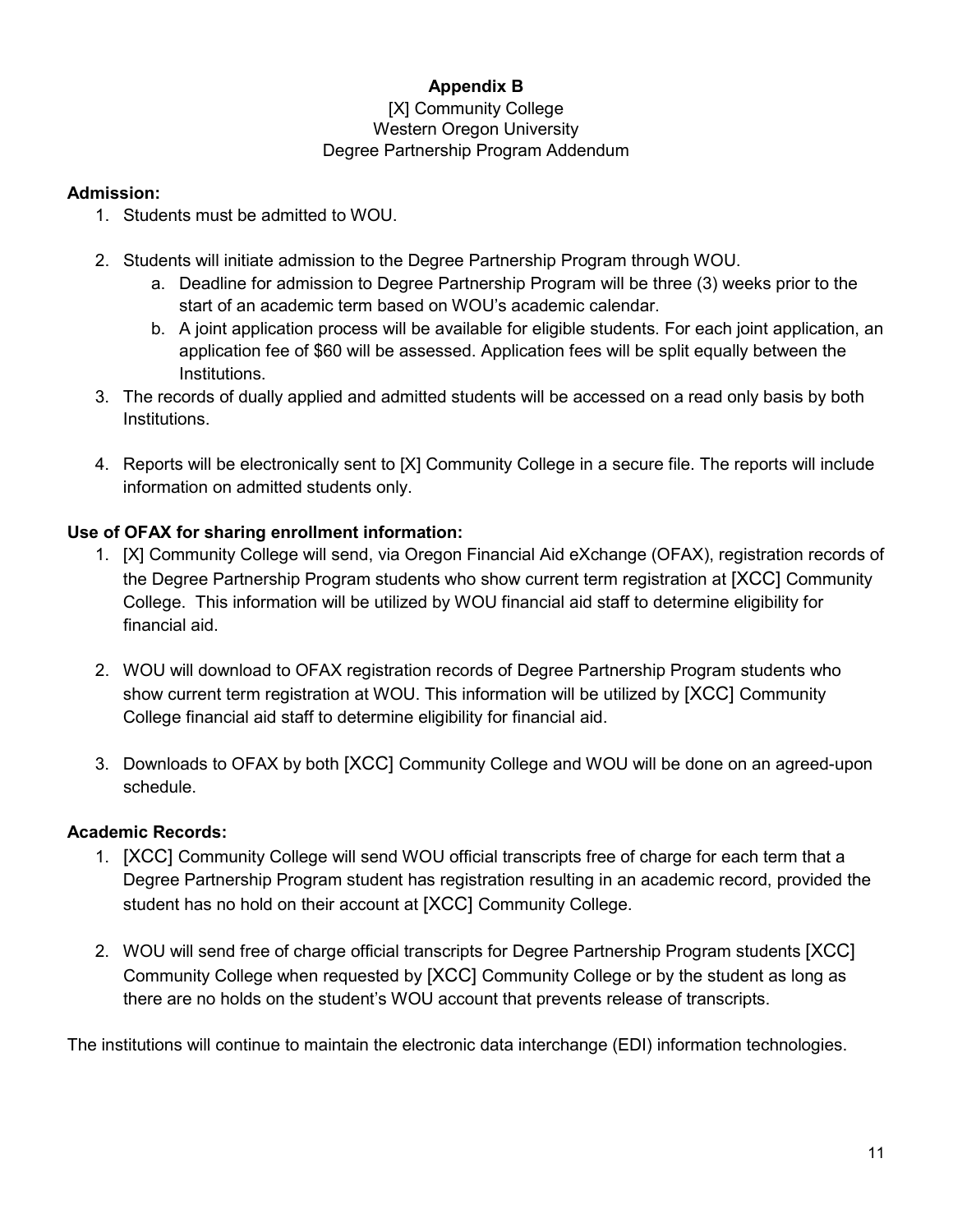#### **Appendix B** [X] Community College Western Oregon University Degree Partnership Program Addendum

#### **Admission:**

- 1. Students must be admitted to WOU.
- 2. Students will initiate admission to the Degree Partnership Program through WOU.
	- a. Deadline for admission to Degree Partnership Program will be three (3) weeks prior to the start of an academic term based on WOU's academic calendar.
	- b. A joint application process will be available for eligible students. For each joint application, an application fee of \$60 will be assessed. Application fees will be split equally between the Institutions.
- 3. The records of dually applied and admitted students will be accessed on a read only basis by both **Institutions**
- 4. Reports will be electronically sent to [X] Community College in a secure file. The reports will include information on admitted students only.

## **Use of OFAX for sharing enrollment information:**

- 1. [X] Community College will send, via Oregon Financial Aid eXchange (OFAX), registration records of the Degree Partnership Program students who show current term registration at [XCC] Community College. This information will be utilized by WOU financial aid staff to determine eligibility for financial aid.
- 2. WOU will download to OFAX registration records of Degree Partnership Program students who show current term registration at WOU. This information will be utilized by [XCC] Community College financial aid staff to determine eligibility for financial aid.
- 3. Downloads to OFAX by both [XCC] Community College and WOU will be done on an agreed-upon schedule.

## **Academic Records:**

- 1. [XCC] Community College will send WOU official transcripts free of charge for each term that a Degree Partnership Program student has registration resulting in an academic record, provided the student has no hold on their account at [XCC] Community College.
- 2. WOU will send free of charge official transcripts for Degree Partnership Program students [XCC] Community College when requested by [XCC] Community College or by the student as long as there are no holds on the student's WOU account that prevents release of transcripts.

The institutions will continue to maintain the electronic data interchange (EDI) information technologies.